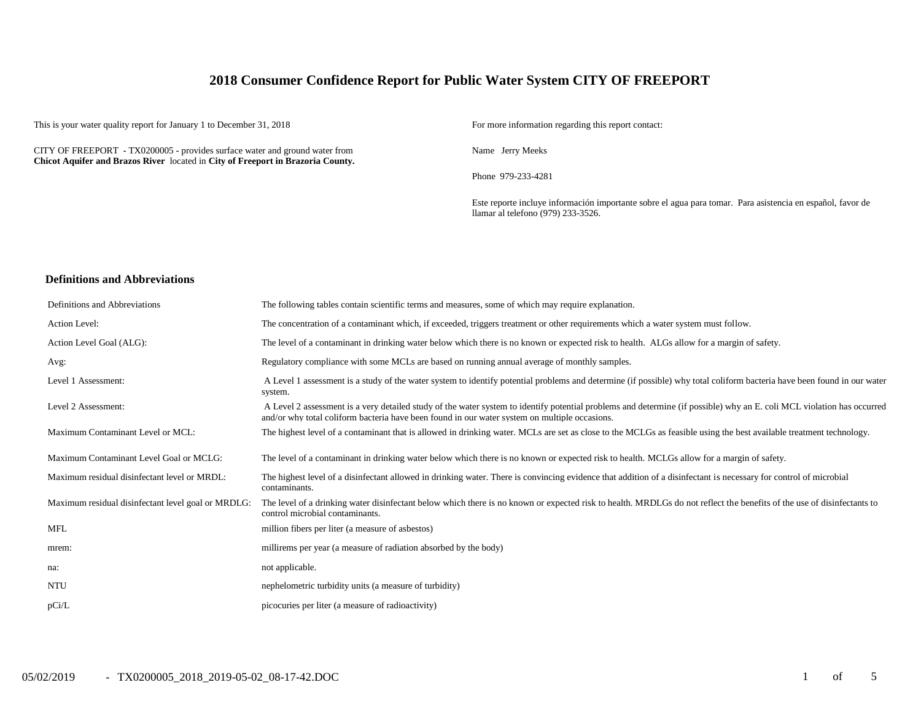## **2018 Consumer Confidence Report for Public Water System CITY OF FREEPORT**

This is your water quality report for January 1 to December 31, 2018 For more information regarding this report contact:

CITY OF FREEPORT - TX0200005 - provides surface water and ground water from **Chicot Aquifer and Brazos River** located in **City of Freeport in Brazoria County.**

Name Jerry Meeks

Phone 979-233-4281

Este reporte incluye información importante sobre el agua para tomar. Para asistencia en español, favor de llamar al telefono (979) 233-3526.

#### **Definitions and Abbreviations**

| Definitions and Abbreviations                      | The following tables contain scientific terms and measures, some of which may require explanation.                                                                                                                                                                      |
|----------------------------------------------------|-------------------------------------------------------------------------------------------------------------------------------------------------------------------------------------------------------------------------------------------------------------------------|
| Action Level:                                      | The concentration of a contaminant which, if exceeded, triggers treatment or other requirements which a water system must follow.                                                                                                                                       |
| Action Level Goal (ALG):                           | The level of a contaminant in drinking water below which there is no known or expected risk to health. ALGs allow for a margin of safety.                                                                                                                               |
| Avg:                                               | Regulatory compliance with some MCLs are based on running annual average of monthly samples.                                                                                                                                                                            |
| Level 1 Assessment:                                | A Level 1 assessment is a study of the water system to identify potential problems and determine (if possible) why total coliform bacteria have been found in our water<br>system.                                                                                      |
| Level 2 Assessment:                                | A Level 2 assessment is a very detailed study of the water system to identify potential problems and determine (if possible) why an E. coli MCL violation has occurred<br>and/or why total coliform bacteria have been found in our water system on multiple occasions. |
| Maximum Contaminant Level or MCL:                  | The highest level of a contaminant that is allowed in drinking water. MCLs are set as close to the MCLGs as feasible using the best available treatment technology.                                                                                                     |
| Maximum Contaminant Level Goal or MCLG:            | The level of a contaminant in drinking water below which there is no known or expected risk to health. MCLGs allow for a margin of safety.                                                                                                                              |
| Maximum residual disinfectant level or MRDL:       | The highest level of a disinfectant allowed in drinking water. There is convincing evidence that addition of a disinfectant is necessary for control of microbial<br>contaminants.                                                                                      |
| Maximum residual disinfectant level goal or MRDLG: | The level of a drinking water disinfectant below which there is no known or expected risk to health. MRDLGs do not reflect the benefits of the use of disinfectants to<br>control microbial contaminants.                                                               |
| <b>MFL</b>                                         | million fibers per liter (a measure of asbestos)                                                                                                                                                                                                                        |
| mrem:                                              | millirems per year (a measure of radiation absorbed by the body)                                                                                                                                                                                                        |
| na:                                                | not applicable.                                                                                                                                                                                                                                                         |
| <b>NTU</b>                                         | nephelometric turbidity units (a measure of turbidity)                                                                                                                                                                                                                  |
| pCi/L                                              | picocuries per liter (a measure of radioactivity)                                                                                                                                                                                                                       |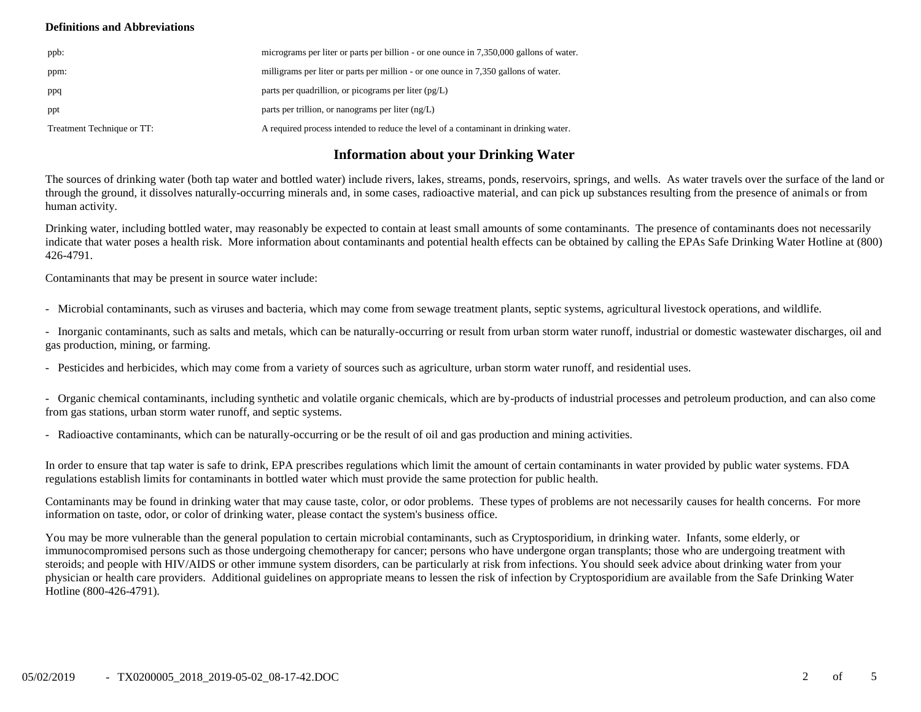#### **Definitions and Abbreviations**

| ppb:                       | micrograms per liter or parts per billion - or one ounce in 7,350,000 gallons of water. |
|----------------------------|-----------------------------------------------------------------------------------------|
| ppm:                       | milligrams per liter or parts per million - or one ounce in 7,350 gallons of water.     |
| ppq                        | parts per quadrillion, or picograms per liter $(pg/L)$                                  |
| ppt                        | parts per trillion, or nanograms per liter $(ng/L)$                                     |
| Treatment Technique or TT: | A required process intended to reduce the level of a contaminant in drinking water.     |

# **Information about your Drinking Water**

The sources of drinking water (both tap water and bottled water) include rivers, lakes, streams, ponds, reservoirs, springs, and wells. As water travels over the surface of the land or through the ground, it dissolves naturally-occurring minerals and, in some cases, radioactive material, and can pick up substances resulting from the presence of animals or from human activity.

Drinking water, including bottled water, may reasonably be expected to contain at least small amounts of some contaminants. The presence of contaminants does not necessarily indicate that water poses a health risk. More information about contaminants and potential health effects can be obtained by calling the EPAs Safe Drinking Water Hotline at (800) 426-4791.

Contaminants that may be present in source water include:

- Microbial contaminants, such as viruses and bacteria, which may come from sewage treatment plants, septic systems, agricultural livestock operations, and wildlife.

- Inorganic contaminants, such as salts and metals, which can be naturally-occurring or result from urban storm water runoff, industrial or domestic wastewater discharges, oil and gas production, mining, or farming.

- Pesticides and herbicides, which may come from a variety of sources such as agriculture, urban storm water runoff, and residential uses.

- Organic chemical contaminants, including synthetic and volatile organic chemicals, which are by-products of industrial processes and petroleum production, and can also come from gas stations, urban storm water runoff, and septic systems.

- Radioactive contaminants, which can be naturally-occurring or be the result of oil and gas production and mining activities.

In order to ensure that tap water is safe to drink, EPA prescribes regulations which limit the amount of certain contaminants in water provided by public water systems. FDA regulations establish limits for contaminants in bottled water which must provide the same protection for public health.

Contaminants may be found in drinking water that may cause taste, color, or odor problems. These types of problems are not necessarily causes for health concerns. For more information on taste, odor, or color of drinking water, please contact the system's business office.

You may be more vulnerable than the general population to certain microbial contaminants, such as Cryptosporidium, in drinking water. Infants, some elderly, or immunocompromised persons such as those undergoing chemotherapy for cancer; persons who have undergone organ transplants; those who are undergoing treatment with steroids; and people with HIV/AIDS or other immune system disorders, can be particularly at risk from infections. You should seek advice about drinking water from your physician or health care providers. Additional guidelines on appropriate means to lessen the risk of infection by Cryptosporidium are available from the Safe Drinking Water Hotline (800-426-4791).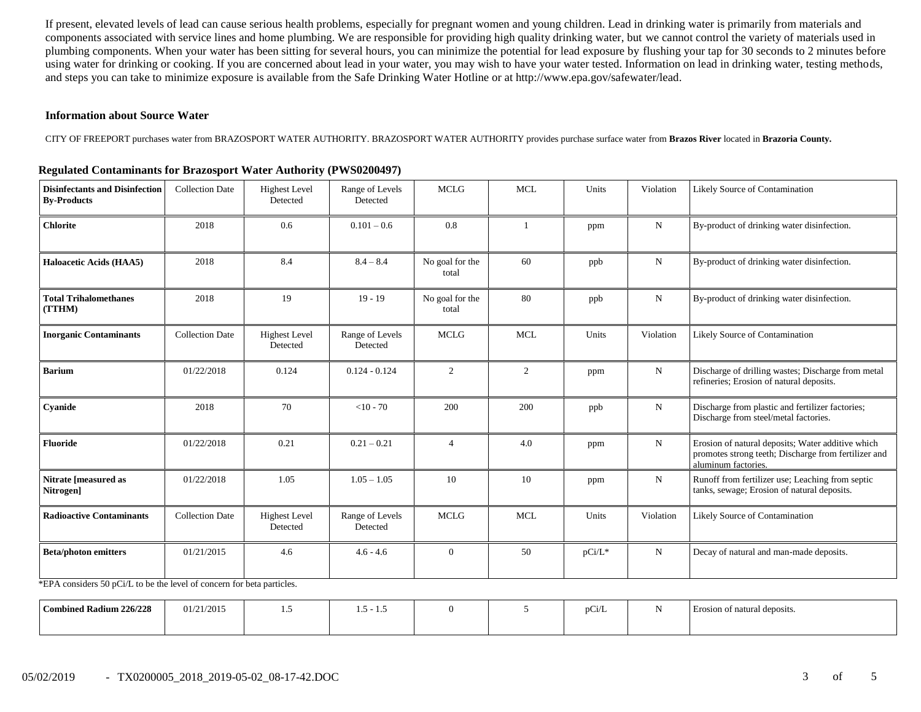If present, elevated levels of lead can cause serious health problems, especially for pregnant women and young children. Lead in drinking water is primarily from materials and components associated with service lines and home plumbing. We are responsible for providing high quality drinking water, but we cannot control the variety of materials used in plumbing components. When your water has been sitting for several hours, you can minimize the potential for lead exposure by flushing your tap for 30 seconds to 2 minutes before using water for drinking or cooking. If you are concerned about lead in your water, you may wish to have your water tested. Information on lead in drinking water, testing methods, and steps you can take to minimize exposure is available from the Safe Drinking Water Hotline or at http://www.epa.gov/safewater/lead.

#### **Information about Source Water**

CITY OF FREEPORT purchases water from BRAZOSPORT WATER AUTHORITY. BRAZOSPORT WATER AUTHORITY provides purchase surface water from **Brazos River** located in **Brazoria County.**

| <b>Disinfectants and Disinfection</b><br><b>By-Products</b>     | <b>Collection Date</b>                    | <b>Highest Level</b><br>Detected | Range of Levels<br>Detected | <b>MCLG</b>              | <b>MCL</b> | Units  | Violation   | Likely Source of Contamination                                                                                                   |
|-----------------------------------------------------------------|-------------------------------------------|----------------------------------|-----------------------------|--------------------------|------------|--------|-------------|----------------------------------------------------------------------------------------------------------------------------------|
| <b>Chlorite</b>                                                 | 2018                                      | 0.6                              | $0.101 - 0.6$               | 0.8                      | 1          | ppm    | ${\bf N}$   | By-product of drinking water disinfection.                                                                                       |
| Haloacetic Acids (HAA5)                                         | 2018                                      | 8.4                              | $8.4 - 8.4$                 | No goal for the<br>total | 60         | ppb    | ${\bf N}$   | By-product of drinking water disinfection.                                                                                       |
| <b>Total Trihalomethanes</b><br>(TTHM)                          | 2018                                      | 19                               | $19 - 19$                   | No goal for the<br>total | 80         | ppb    | $\mathbf N$ | By-product of drinking water disinfection.                                                                                       |
| <b>Inorganic Contaminants</b>                                   | <b>Collection Date</b>                    | <b>Highest Level</b><br>Detected | Range of Levels<br>Detected | <b>MCLG</b>              | <b>MCL</b> | Units  | Violation   | <b>Likely Source of Contamination</b>                                                                                            |
| <b>Barium</b>                                                   | 01/22/2018                                | 0.124                            | $0.124 - 0.124$             | 2                        | 2          | ppm    | ${\bf N}$   | Discharge of drilling wastes; Discharge from metal<br>refineries; Erosion of natural deposits.                                   |
| Cyanide                                                         | 2018                                      | 70                               | $<$ 10 - 70                 | 200                      | 200        | ppb    | N           | Discharge from plastic and fertilizer factories;<br>Discharge from steel/metal factories.                                        |
| <b>Fluoride</b>                                                 | 01/22/2018                                | 0.21                             | $0.21 - 0.21$               | $\overline{4}$           | 4.0        | ppm    | ${\bf N}$   | Erosion of natural deposits; Water additive which<br>promotes strong teeth; Discharge from fertilizer and<br>aluminum factories. |
| Nitrate [measured as<br>Nitrogen]                               | 01/22/2018                                | 1.05                             | $1.05 - 1.05$               | 10                       | 10         | ppm    | N           | Runoff from fertilizer use; Leaching from septic<br>tanks, sewage; Erosion of natural deposits.                                  |
| <b>Radioactive Contaminants</b>                                 | <b>Collection Date</b>                    | <b>Highest Level</b><br>Detected | Range of Levels<br>Detected | <b>MCLG</b>              | <b>MCL</b> | Units  | Violation   | Likely Source of Contamination                                                                                                   |
| <b>Beta/photon emitters</b><br>$*$ FDA : 1 50 $G/H$ : 1 d 1 1 f | 01/21/2015<br>$\mathcal{C}$ $\mathcal{C}$ | 4.6<br>$2.7 - 1$                 | $4.6 - 4.6$                 | $\Omega$                 | 50         | pCi/L* | ${\bf N}$   | Decay of natural and man-made deposits.                                                                                          |

#### **Regulated Contaminants for Brazosport Water Authority (PWS0200497)**

\*EPA considers 50 pCi/L to be the level of concern for beta particles.

| d Radium 226/228<br>Combinea | 01/21/2015 | <br>--<br>$\gamma$ $-$<br>.<br>. |  | pCi/L | Erosion of natural deposits. |
|------------------------------|------------|----------------------------------|--|-------|------------------------------|
|                              |            |                                  |  |       |                              |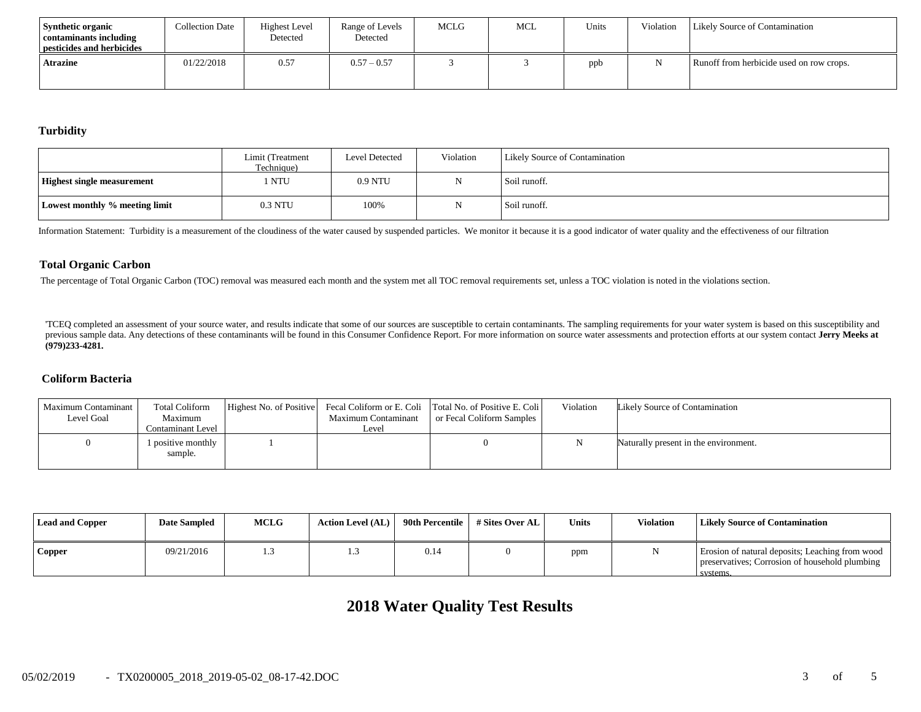| <b>Synthetic organic</b><br>contaminants including<br>pesticides and herbicides | <b>Collection Date</b> | <b>Highest Level</b><br>Detected | Range of Levels<br>Detected | <b>MCLG</b> | MCL | Units | Violation | <b>Likely Source of Contamination</b>    |
|---------------------------------------------------------------------------------|------------------------|----------------------------------|-----------------------------|-------------|-----|-------|-----------|------------------------------------------|
| Atrazine                                                                        | 01/22/2018             | 0.57                             | $0.57 - 0.57$               |             |     | ppb   |           | Runoff from herbicide used on row crops. |

#### **Turbidity**

|                                   | Limit (Treatment<br>Technique) | Level Detected | Violation | <b>Likely Source of Contamination</b> |
|-----------------------------------|--------------------------------|----------------|-----------|---------------------------------------|
| <b>Highest single measurement</b> | l NTU                          | 0.9 NTU        |           | Soil runoff.                          |
| Lowest monthly % meeting limit    | 0.3 NTU                        | 100%           |           | Soil runoff.                          |

Information Statement: Turbidity is a measurement of the cloudiness of the water caused by suspended particles. We monitor it because it is a good indicator of water quality and the effectiveness of our filtration

#### **Total Organic Carbon**

The percentage of Total Organic Carbon (TOC) removal was measured each month and the system met all TOC removal requirements set, unless a TOC violation is noted in the violations section.

'TCEQ completed an assessment of your source water, and results indicate that some of our sources are susceptible to certain contaminants. The sampling requirements for your water system is based on this susceptibility and previous sample data. Any detections of these contaminants will be found in this Consumer Confidence Report. For more information on source water assessments and protection efforts at our system contact Jerry Meeks at **(979)233-4281.**

#### **Coliform Bacteria**

| Maximum Contaminant<br>Level Goal | <b>Total Coliform</b><br>Maximum<br>Contaminant Level | Highest No. of Positive | Maximum Contaminant<br>∟evel | Fecal Coliform or E. Coli Total No. of Positive E. Coli<br>or Fecal Coliform Samples | Violation | Likely Source of Contamination        |
|-----------------------------------|-------------------------------------------------------|-------------------------|------------------------------|--------------------------------------------------------------------------------------|-----------|---------------------------------------|
|                                   | 1 positive monthly<br>sample.                         |                         |                              |                                                                                      |           | Naturally present in the environment. |

| <b>Lead and Copper</b> | <b>Date Sampled</b> | <b>MCLG</b> | <b>Action Level (AL)</b> | 90th Percentile | # Sites Over AL | <b>Units</b> | <b>Violation</b> | <b>Likely Source of Contamination</b>                                                                         |
|------------------------|---------------------|-------------|--------------------------|-----------------|-----------------|--------------|------------------|---------------------------------------------------------------------------------------------------------------|
| <b>Copper</b>          | 09/21/2016          |             |                          | 0.14            |                 | ppm          |                  | Erosion of natural deposits; Leaching from wood<br>preservatives; Corrosion of household plumbing<br>systems. |

# **2018 Water Quality Test Results**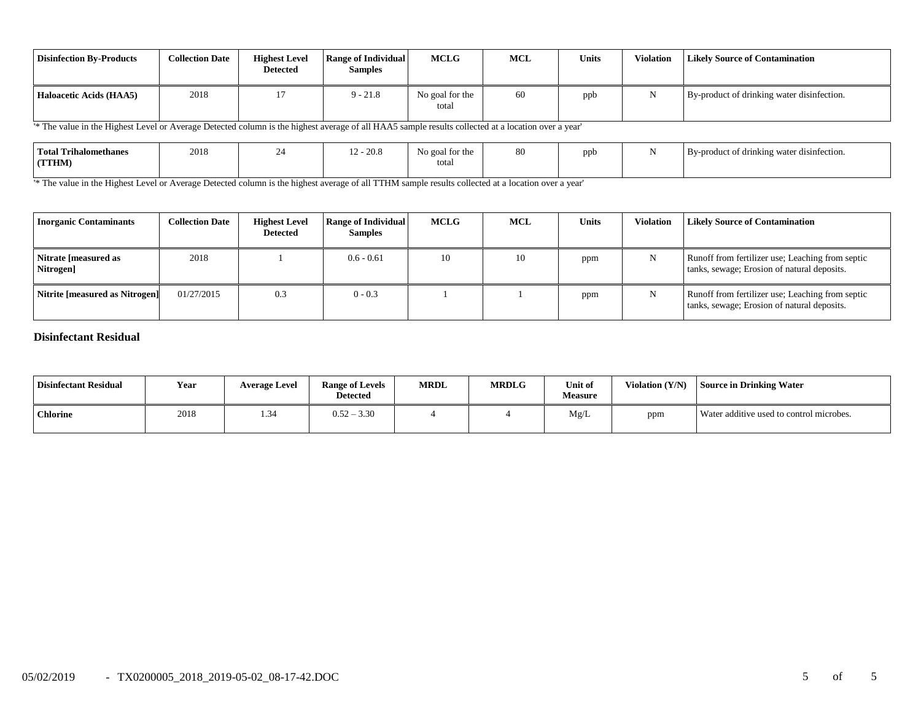| <b>Disinfection By-Products</b> | <b>Collection Date</b> | <b>Highest Level</b><br><b>Detected</b> | <b>Range of Individual</b><br><b>Samples</b> | <b>MCLG</b>              | <b>MCL</b> | <b>Units</b> | <b>Violation</b> | <b>Likely Source of Contamination</b>      |
|---------------------------------|------------------------|-----------------------------------------|----------------------------------------------|--------------------------|------------|--------------|------------------|--------------------------------------------|
| Haloacetic Acids (HAA5)         | 2018                   |                                         | $9 - 21.8$                                   | No goal for the<br>total | 60         | ppb          |                  | By-product of drinking water disinfection. |

'\* The value in the Highest Level or Average Detected column is the highest average of all HAA5 sample results collected at a location over a year'

| <b>Total Trihalomethanes</b><br><b>TTHM</b> | 2018 | $' - 20.8$ | AL.<br>goal for the<br>totar | 80 | ppb<br>. . | $\cdots$<br>By-product of drinking water disinfection. |
|---------------------------------------------|------|------------|------------------------------|----|------------|--------------------------------------------------------|
|                                             |      |            |                              |    |            |                                                        |

<sup>1</sup> The value in the Highest Level or Average Detected column is the highest average of all TTHM sample results collected at a location over a year'

| <b>Inorganic Contaminants</b>     | <b>Collection Date</b> | <b>Highest Level</b><br><b>Detected</b> | <b>Range of Individual</b><br><b>Samples</b> | MCLG | <b>MCL</b> | <b>Units</b> | Violation | <b>Likely Source of Contamination</b>                                                           |
|-----------------------------------|------------------------|-----------------------------------------|----------------------------------------------|------|------------|--------------|-----------|-------------------------------------------------------------------------------------------------|
| Nitrate [measured as<br>Nitrogen] | 2018                   |                                         | $0.6 - 0.61$                                 | 10   | 10         | ppm          | N         | Runoff from fertilizer use; Leaching from septic<br>tanks, sewage; Erosion of natural deposits. |
| Nitrite [measured as Nitrogen]    | 01/27/2015             | 0.3                                     | $0 - 0.3$                                    |      |            | ppm          | N         | Runoff from fertilizer use; Leaching from septic<br>tanks, sewage; Erosion of natural deposits. |

## **Disinfectant Residual**

| <b>Disinfectant Residual</b> | Year | <b>Average Level</b> | <b>Range of Levels</b><br><b>Detected</b> | <b>MRDL</b> | <b>MRDLG</b> | Unit of<br><b>Measure</b> | Violation $(Y/N)$ | <b>Source in Drinking Water</b>          |
|------------------------------|------|----------------------|-------------------------------------------|-------------|--------------|---------------------------|-------------------|------------------------------------------|
| <b>Chlorine</b>              | 2018 | 1.34                 | $0.52 - 3.30$                             |             |              | Mg/L                      | ppm               | Water additive used to control microbes. |